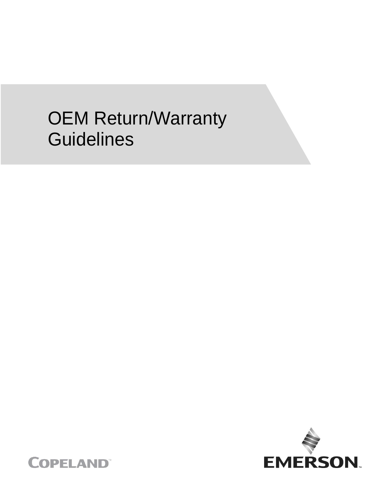# OEM Return/Warranty **Guidelines**



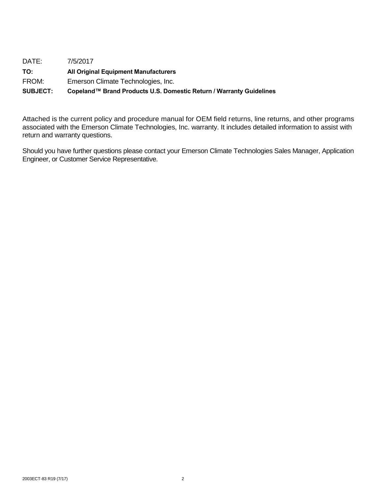| <b>SUBJECT:</b> | Copeland™ Brand Products U.S. Domestic Return / Warranty Guidelines |
|-----------------|---------------------------------------------------------------------|
| FROM:           | Emerson Climate Technologies, Inc.                                  |
| TO:             | <b>All Original Equipment Manufacturers</b>                         |
| DATE:           | 7/5/2017                                                            |

Attached is the current policy and procedure manual for OEM field returns, line returns, and other programs associated with the Emerson Climate Technologies, Inc. warranty. It includes detailed information to assist with return and warranty questions.

Should you have further questions please contact your Emerson Climate Technologies Sales Manager, Application Engineer, or Customer Service Representative.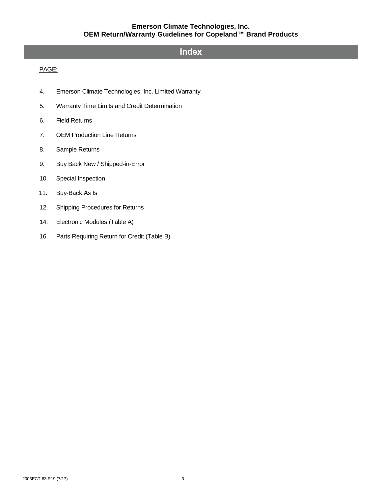### **Index**

#### PAGE:

- 4. Emerson Climate Technologies, Inc. Limited Warranty
- 5. Warranty Time Limits and Credit Determination
- 6. Field Returns
- 7. OEM Production Line Returns
- 8. Sample Returns
- 9. Buy Back New / Shipped-in-Error
- 10. Special Inspection
- 11. Buy-Back As Is
- 12. Shipping Procedures for Returns
- 14. Electronic Modules (Table A)
- 16. Parts Requiring Return for Credit (Table B)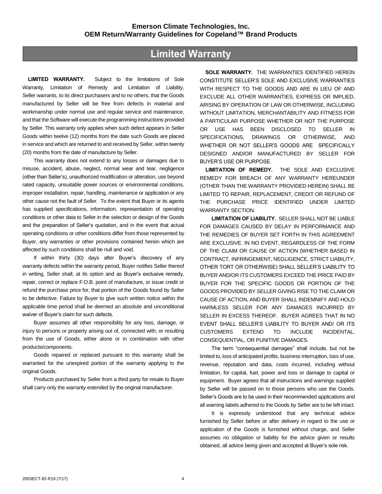# **Limited Warranty**

**LIMITED WARRANTY.** Subject to the limitations of Sole Warranty, Limitation of Remedy and Limitation of Liability, Seller warrants, to its direct purchasers and to no others, that the Goods manufactured by Seller will be free from defects in material and workmanship under normal use and regular service and maintenance, and that the Software will execute the programming instructions provided by Seller. This warranty only applies when such defect appears in Seller Goods within twelve (12) months from the date such Goods are placed in service and which are returned to and received by Seller, within twenty (20) months from the date of manufacture by Seller.

This warranty does not extend to any losses or damages due to misuse, accident, abuse, neglect, normal wear and tear, negligence (other than Seller's), unauthorized modification or alteration, use beyond rated capacity, unsuitable power sources or environmental conditions, improper installation, repair, handling, maintenance or application or any other cause not the fault of Seller. To the extent that Buyer or its agents has supplied specifications, information, representation of operating conditions or other data to Seller in the selection or design of the Goods and the preparation of Seller's quotation, and in the event that actual operating conditions or other conditions differ from those represented by Buyer, any warranties or other provisions contained herein which are affected by such conditions shall be null and void.

If within thirty (30) days after Buyer's discovery of any warranty defects within the warranty period, Buyer notifies Seller thereof in writing, Seller shall, at its option and as Buyer's exclusive remedy, repair, correct or replace F.O.B. point of manufacture, or issue credit or refund the purchase price for, that portion of the Goods found by Seller to be defective. Failure by Buyer to give such written notice within the applicable time period shall be deemed an absolute and unconditional waiver of Buyer's claim for such defects.

Buyer assumes all other responsibility for any loss, damage, or injury to persons or property arising out of, connected with, or resulting from the use of Goods, either alone or in combination with other products/components.

Goods repaired or replaced pursuant to this warranty shall be warranted for the unexpired portion of the warranty applying to the original Goods.

Products purchased by Seller from a third party for resale to Buyer shall carry only the warranty extended by the original manufacturer.

**SOLE WARRANTY.** THE WARRANTIES IDENTIFIED HEREIN CONSTITUTE SELLER'S SOLE AND EXCLUSIVE WARRANTIES WITH RESPECT TO THE GOODS AND ARE IN LIEU OF AND EXCLUDE ALL OTHER WARRANTIES, EXPRESS OR IMPLIED, ARISING BY OPERATION OF LAW OR OTHERWISE, INCLUDING WITHOUT LIMITATION, MERCHANTABILITY AND FITNESS FOR A PARTICULAR PURPOSE WHETHER OR NOT THE PURPOSE OR USE HAS BEEN DISCLOSED TO SELLER IN SPECIFICATIONS, DRAWINGS OR OTHERWISE, AND WHETHER OR NOT SELLER'S GOODS ARE SPECIFICALLY DESIGNED AND/OR MANUFACTURED BY SELLER FOR BUYER'S USE OR PURPOSE.

**LIMITATION OF REMEDY.** THE SOLE AND EXCLUSIVE REMEDY FOR BREACH OF ANY WARRANTY HEREUNDER (OTHER THAN THE WARRANTY PROVIDED HEREIN) SHALL BE LIMITED TO REPAIR, REPLACEMENT, CREDIT OR REFUND OF THE PURCHASE PRICE IDENTIFIED UNDER LIMITED WARRANTY SECTION.

**LIMITATION OF LIABILITY.** SELLER SHALL NOT BE LIABLE FOR DAMAGES CAUSED BY DELAY IN PERFORMANCE AND THE REMEDIES OF BUYER SET FORTH IN THIS AGREEMENT ARE EXCLUSIVE. IN NO EVENT, REGARDLESS OF THE FORM OF THE CLAIM OR CAUSE OF ACTION (WHETHER BASED IN CONTRACT, INFRINGEMENT, NEGLIGENCE, STRICT LIABILITY, OTHER TORT OR OTHERWISE) SHALL SELLER'S LIABILITY TO BUYER AND/OR ITS CUSTOMERS EXCEED THE PRICE PAID BY BUYER FOR THE SPECIFIC GOODS OR PORTION OF THE GOODS PROVIDED BY SELLER GIVING RISE TO THE CLAIM OR CAUSE OF ACTION, AND BUYER SHALL INDEMNIFY AND HOLD HARMLESS SELLER FOR ANY DAMAGES INCURRED BY SELLER IN EXCESS THEREOF. BUYER AGREES THAT IN NO EVENT SHALL SELLER'S LIABILITY TO BUYER AND/ OR ITS CUSTOMERS EXTEND TO INCLUDE INCIDENTAL, CONSEQUENTIAL, OR PUNITIVE DAMAGES.

The term "consequential damages" shall include, but not be limited to, loss of anticipated profits, business interruption, loss of use, revenue, reputation and data, costs incurred, including without limitation, for capital, fuel, power and loss or damage to capital or equipment. Buyer agrees that all instructions and warnings supplied by Seller will be passed on to those persons who use the Goods. Seller's Goods are to be used in their recommended applications and all warning labels adhered to the Goods by Seller are to be left intact.

It is expressly understood that any technical advice furnished by Seller before or after delivery in regard to the use or application of the Goods is furnished without charge, and Seller assumes no obligation or liability for the advice given or results obtained, all advice being given and accepted at Buyer's sole risk.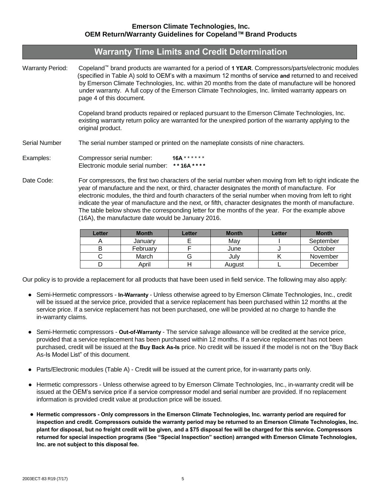# **Warranty Time Limits and Credit Determination**

Warranty Period: Copeland™ brand products are warranted for a period of **1 YEAR**. Compressors/parts/electronic modules (specified in Table A) sold to OEM's with a maximum 12 months of service **and** returned to and received by Emerson Climate Technologies, Inc. within 20 months from the date of manufacture will be honored under warranty. A full copy of the Emerson Climate Technologies, Inc. limited warranty appears on page 4 of this document.

> Copeland brand products repaired or replaced pursuant to the Emerson Climate Technologies, Inc. existing warranty return policy are warranted for the unexpired portion of the warranty applying to the original product.

Serial Number The serial number stamped or printed on the nameplate consists of nine characters.

- Examples: Compressor serial number: **16A** \* \* \* \* \* \* Electronic module serial number: **\* \* 16A \* \* \* \***
- Date Code: For compressors, the first two characters of the serial number when moving from left to right indicate the year of manufacture and the next, or third, character designates the month of manufacture. For electronic modules, the third and fourth characters of the serial number when moving from left to right indicate the year of manufacture and the next, or fifth, character designates the month of manufacture. The table below shows the corresponding letter for the months of the year. For the example above (16A), the manufacture date would be January 2016.

| Letter | <b>Month</b> | Letter | <b>Month</b> | Letter | <b>Month</b> |
|--------|--------------|--------|--------------|--------|--------------|
|        | January      |        | May          |        | September    |
|        | February     |        | June         |        | October      |
|        | March        |        | July         |        | November     |
|        | April        |        | August       |        | December     |

Our policy is to provide a replacement for all products that have been used in field service. The following may also apply:

- Semi-Hermetic compressors **In-Warranty** Unless otherwise agreed to by Emerson Climate Technologies, Inc., credit will be issued at the service price, provided that a service replacement has been purchased within 12 months at the service price. If a service replacement has not been purchased, one will be provided at no charge to handle the in-warranty claims.
- Semi-Hermetic compressors **Out-of-Warranty** The service salvage allowance will be credited at the service price, provided that a service replacement has been purchased within 12 months. If a service replacement has not been purchased, credit will be issued at the **Buy Back As-Is** price. No credit will be issued if the model is not on the "Buy Back As-Is Model List" of this document.
- Parts/Electronic modules (Table A) Credit will be issued at the current price, for in-warranty parts only.
- Hermetic compressors Unless otherwise agreed to by Emerson Climate Technologies, Inc., in-warranty credit will be issued at the OEM's service price if a service compressor model and serial number are provided. If no replacement information is provided credit value at production price will be issued.
- **● Hermetic compressors - Only compressors in the Emerson Climate Technologies, Inc. warranty period are required for inspection and credit. Compressors outside the warranty period may be returned to an Emerson Climate Technologies, Inc. plant for disposal, but no freight credit will be given, and a \$75 disposal fee will be charged for this service. Compressors returned for special inspection programs (See "Special Inspection" section) arranged with Emerson Climate Technologies, Inc. are not subject to this disposal fee.**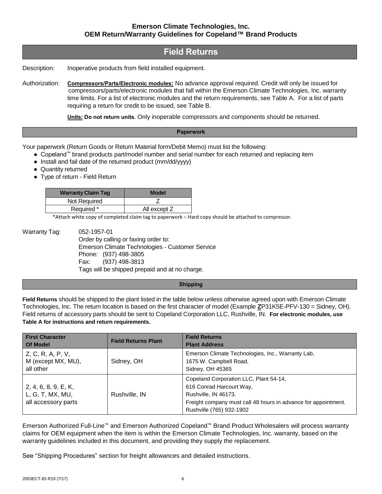### **Field Returns**

Description: Inoperative products from field installed equipment.

Authorization: **Compressors/Parts/Electronic modules:** No advance approval required. Credit will only be issued for compressors/parts/electronic modules that fall within the Emerson Climate Technologies, Inc. warranty time limits. For a list of electronic modules and the return requirements, see Table A. For a list of parts requiring a return for credit to be issued, see Table B.

**Units: Do not return units**. Only inoperable compressors and components should be returned.

#### **Paperwork**

Your paperwork (Return Goods or Return Material form/Debit Memo) must list the following:

- Copeland™ brand products part/model number and serial number for each returned and replacing item
- Install and fail date of the returned product (mm/dd/yyyy)
- Quantity returned
- Type of return Field Return

| <b>Warranty Claim Tag</b> | <b>Model</b> |
|---------------------------|--------------|
| Not Required              |              |
| Required *                | All except Z |

\*Attach white copy of completed claim tag to paperwork – Hard copy should be attached to compressor.

Warranty Tag: 052-1957-01 Order by calling or faxing order to: Emerson Climate Technologies - Customer Service Phone: (937) 498-3805 Fax: (937) 498-3813 Tags will be shipped prepaid and at no charge.

#### **Shipping**

**Field Returns** should be shipped to the plant listed in the table below unless otherwise agreed upon with Emerson Climate Technologies, Inc. The return location is based on the first character of model (Example **Z**P31K5E-PFV-130 = Sidney, OH). Field returns of accessory parts should be sent to Copeland Corporation LLC, Rushville, IN. **For electronic modules, use Table A for instructions and return requirements.**

| <b>First Character</b><br><b>Of Model</b>                       | <b>Field Returns Plant</b> | <b>Field Returns</b><br><b>Plant Address</b>                                                                                                                                             |
|-----------------------------------------------------------------|----------------------------|------------------------------------------------------------------------------------------------------------------------------------------------------------------------------------------|
| Z, C, R, A, P, V,<br>M (except MX, MU),<br>all other            | Sidney, OH                 | Emerson Climate Technologies, Inc., Warranty Lab,<br>1675 W. Campbell Road,<br>Sidney, OH 45365                                                                                          |
| 2, 4, 6, 8, 9, E, K,<br>L, G, T, MX, MU,<br>all accessory parts | Rushville, IN              | Copeland Corporation LLC, Plant 54-14,<br>616 Conrad Harcourt Way,<br>Rushville, IN 46173.<br>Freight company must call 48 hours in advance for appointment.<br>Rushville (765) 932-1902 |

Emerson Authorized Full-Line™ and Emerson Authorized Copeland™ Brand Product Wholesalers will process warranty claims for OEM equipment when the item is within the Emerson Climate Technologies, Inc. warranty, based on the warranty guidelines included in this document, and providing they supply the replacement.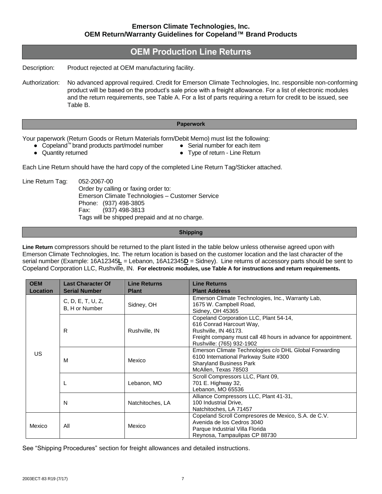## **OEM Production Line Returns**

Description: Product rejected at OEM manufacturing facility.

Authorization: No advanced approval required. Credit for Emerson Climate Technologies, Inc. responsible non-conforming product will be based on the product's sale price with a freight allowance. For a list of electronic modules and the return requirements, see Table A. For a list of parts requiring a return for credit to be issued, see Table B.

#### **Paperwork**

Your paperwork (Return Goods or Return Materials form/Debit Memo) must list the following:

- Copeland™ brand products part/model number Serial number for each item
- 
- Quantity returned example a set of the Type of return Line Return
- 

Each Line Return should have the hard copy of the completed Line Return Tag/Sticker attached.

Line Return Tag: 052-2067-00 Order by calling or faxing order to: Emerson Climate Technologies – Customer Service Phone: (937) 498-3805 Fax: (937) 498-3813 Tags will be shipped prepaid and at no charge.

**Shipping**

**Line Return** compressors should be returned to the plant listed in the table below unless otherwise agreed upon with Emerson Climate Technologies, Inc. The return location is based on the customer location and the last character of the serial number (Example: 16A12345**L** = Lebanon, 16A12345**D** = Sidney). Line returns of accessory parts should be sent to Copeland Corporation LLC, Rushville, IN. **For electronic modules, use Table A for instructions and return requirements.**

| <b>OEM</b>      | <b>Last Character Of</b>            | <b>Line Returns</b> | <b>Line Returns</b>                                                                                                                                                                       |
|-----------------|-------------------------------------|---------------------|-------------------------------------------------------------------------------------------------------------------------------------------------------------------------------------------|
| <b>Location</b> | <b>Serial Number</b>                | <b>Plant</b>        | <b>Plant Address</b>                                                                                                                                                                      |
| US              | C, D, E, T, U, Z,<br>B, H or Number | Sidney, OH          | Emerson Climate Technologies, Inc., Warranty Lab,<br>1675 W. Campbell Road,<br>Sidney, OH 45365                                                                                           |
|                 | R                                   | Rushville, IN       | Copeland Corporation LLC, Plant 54-14,<br>616 Conrad Harcourt Way,<br>Rushville, IN 46173.<br>Freight company must call 48 hours in advance for appointment.<br>Rushville: (765) 932-1902 |
|                 | м                                   | Mexico              | Emerson Climate Technologies c/o DHL Global Forwarding<br>6100 International Parkway Suite #300<br><b>Sharyland Business Park</b><br>McAllen, Texas 78503                                 |
|                 | щ                                   | Lebanon, MO         | Scroll Compressors LLC, Plant 09,<br>701 E. Highway 32,<br>Lebanon, MO 65536                                                                                                              |
|                 | N                                   | Natchitoches, LA    | Alliance Compressors LLC, Plant 41-31,<br>100 Industrial Drive,<br>Natchitoches, LA 71457                                                                                                 |
| Mexico          | All                                 | Mexico              | Copeland Scroll Compresores de Mexico, S.A. de C.V.<br>Avenida de los Cedros 3040<br>Parque Industrial Villa Florida<br>Reynosa, Tampaulipas CP 88730                                     |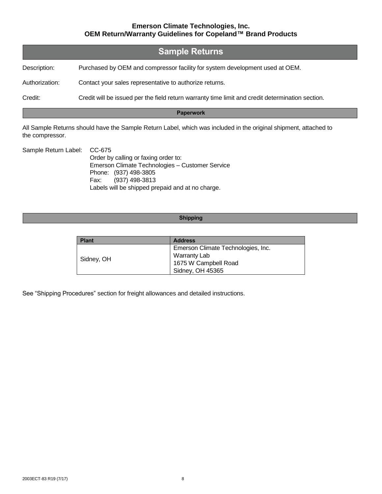|                | <b>Sample Returns</b>                                                                            |
|----------------|--------------------------------------------------------------------------------------------------|
| Description:   | Purchased by OEM and compressor facility for system development used at OEM.                     |
| Authorization: | Contact your sales representative to authorize returns.                                          |
| Credit:        | Credit will be issued per the field return warranty time limit and credit determination section. |

#### **Paperwork**

All Sample Returns should have the Sample Return Label, which was included in the original shipment, attached to the compressor.

| Sample Return Label: CC-675 |                                                  |
|-----------------------------|--------------------------------------------------|
|                             | Order by calling or faxing order to:             |
|                             | Emerson Climate Technologies - Customer Service  |
|                             | Phone: (937) 498-3805                            |
|                             | Fax: (937) 498-3813                              |
|                             | Labels will be shipped prepaid and at no charge. |

#### **Shipping**

| <b>Plant</b> | <b>Address</b>                     |
|--------------|------------------------------------|
|              | Emerson Climate Technologies, Inc. |
|              | Warranty Lab                       |
| Sidney, OH   | 1675 W Campbell Road               |
|              | Sidney, OH 45365                   |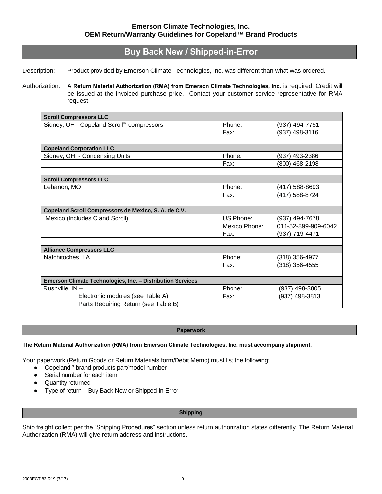# **Buy Back New / Shipped-in-Error**

Description: Product provided by Emerson Climate Technologies, Inc. was different than what was ordered.

Authorization: A **Return Material Authorization (RMA) from Emerson Climate Technologies, Inc.** is required. Credit will be issued at the invoiced purchase price. Contact your customer service representative for RMA request.

| <b>Scroll Compressors LLC</b>                              |               |                     |
|------------------------------------------------------------|---------------|---------------------|
| Sidney, OH - Copeland Scroll™ compressors                  | Phone:        | (937) 494-7751      |
|                                                            | Fax:          | (937) 498-3116      |
|                                                            |               |                     |
| <b>Copeland Corporation LLC</b>                            |               |                     |
| Sidney, OH - Condensing Units                              | Phone:        | (937) 493-2386      |
|                                                            | Fax:          | (800) 468-2198      |
|                                                            |               |                     |
| <b>Scroll Compressors LLC</b>                              |               |                     |
| Lebanon, MO                                                | Phone:        | (417) 588-8693      |
|                                                            | Fax:          | (417) 588-8724      |
|                                                            |               |                     |
| Copeland Scroll Compressors de Mexico, S. A. de C.V.       |               |                     |
| Mexico (Includes C and Scroll)                             | US Phone:     | (937) 494-7678      |
|                                                            | Mexico Phone: | 011-52-899-909-6042 |
|                                                            | Fax:          | (937) 719-4471      |
|                                                            |               |                     |
| <b>Alliance Compressors LLC</b>                            |               |                     |
| Natchitoches, LA                                           | Phone:        | (318) 356-4977      |
|                                                            | Fax:          | (318) 356-4555      |
|                                                            |               |                     |
| Emerson Climate Technologies, Inc. - Distribution Services |               |                     |
| Rushville, IN-                                             | Phone:        | (937) 498-3805      |
| Electronic modules (see Table A)                           | Fax:          | (937) 498-3813      |
| Parts Requiring Return (see Table B)                       |               |                     |

#### **Paperwork**

#### **The Return Material Authorization (RMA) from Emerson Climate Technologies, Inc. must accompany shipment.**

Your paperwork (Return Goods or Return Materials form/Debit Memo) must list the following:

- Copeland™ brand products part/model number
- Serial number for each item
- Quantity returned
- Type of return Buy Back New or Shipped-in-Error

#### **Shipping**

Ship freight collect per the "Shipping Procedures" section unless return authorization states differently. The Return Material Authorization (RMA) will give return address and instructions.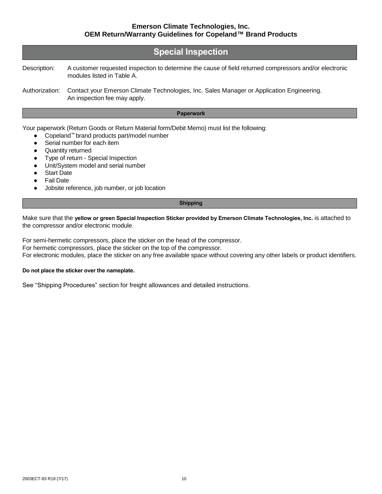|                | <b>Special Inspection</b>                                                                                                            |
|----------------|--------------------------------------------------------------------------------------------------------------------------------------|
| Description:   | A customer requested inspection to determine the cause of field returned compressors and/or electronic<br>modules listed in Table A. |
| Authorization: | Contact your Emerson Climate Technologies, Inc. Sales Manager or Application Engineering.<br>An inspection fee may apply.            |

#### **Paperwork**

Your paperwork (Return Goods or Return Material form/Debit Memo) must list the following:

- Copeland™ brand products part/model number
- Serial number for each item
- Quantity returned
- Type of return Special Inspection
- Unit/System model and serial number
- **Start Date**
- **Fail Date**
- Jobsite reference, job number, or job location

#### **Shipping**

Make sure that the **yellow or green Special Inspection Sticker provided by Emerson Climate Technologies, Inc.** is attached to the compressor and/or electronic module.

For semi-hermetic compressors, place the sticker on the head of the compressor.

For hermetic compressors, place the sticker on the top of the compressor.

For electronic modules, place the sticker on any free available space without covering any other labels or product identifiers.

#### **Do not place the sticker over the nameplate.**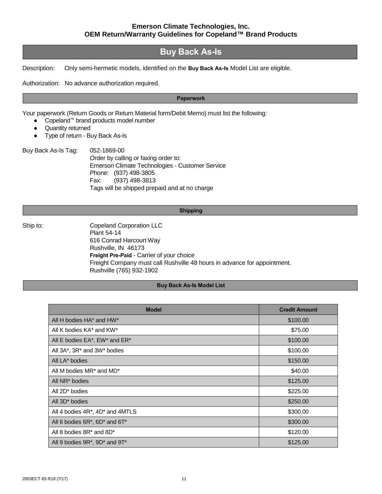## **Buy Back As-Is**

Description: Only semi-hermetic models, identified on the **Buy Back As-Is** Model List are eligible.

Authorization: No advance authorization required.

#### **Paperwork**

Your paperwork (Return Goods or Return Material form/Debit Memo) must list the following:

- Copeland™ brand products model number
- Quantity returned
- Type of return Buy Back As-Is

Buy Back As-Is Tag: 052-1869-00 Order by calling or faxing order to: Emerson Climate Technologies - Customer Service Phone: (937) 498-3805 Fax: (937) 498-3813 Tags will be shipped prepaid and at no charge

#### **Shipping**

Ship to: Copeland Corporation LLC Plant 54-14 616 Conrad Harcourt Way Rushville, IN 46173 **Freight Pre-Paid** - Carrier of your choice Freight Company must call Rushville 48 hours in advance for appointment. Rushville (765) 932-1902

#### **Buy Back As-Is Model List**

| <b>Model</b>                                     | <b>Credit Amount</b> |
|--------------------------------------------------|----------------------|
| All H bodies HA* and HW*                         | \$100.00             |
| All K bodies KA* and KW*                         | \$75.00              |
| All E bodies EA*, EW* and ER*                    | \$100.00             |
| All 3A*, 3R* and 3W* bodies                      | \$100.00             |
| All LA* bodies                                   | \$150.00             |
| All M bodies MR <sup>*</sup> and MD <sup>*</sup> | \$40.00              |
| All NR <sup>*</sup> bodies                       | \$125.00             |
| All 2D <sup>*</sup> bodies                       | \$225.00             |
| All 3D <sup>*</sup> bodies                       | \$250.00             |
| All 4 bodies $4R^*$ , $4D^*$ and $4MTLS$         | \$300.00             |
| All 6 bodies $6R^*$ , $6D^*$ and $6T^*$          | \$300.00             |
| All 8 bodies 8R <sup>*</sup> and 8D <sup>*</sup> | \$120.00             |
| All 9 bodies 9R*, 9D* and 9T*                    | \$125.00             |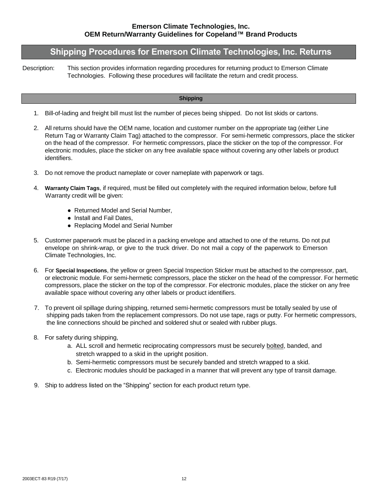### **Shipping Procedures for Emerson Climate Technologies, Inc. Returns**

Description: This section provides information regarding procedures for returning product to Emerson Climate Technologies. Following these procedures will facilitate the return and credit process.

#### **Shipping**

- 1. Bill-of-lading and freight bill must list the number of pieces being shipped. Do not list skids or cartons.
- 2. All returns should have the OEM name, location and customer number on the appropriate tag (either Line Return Tag or Warranty Claim Tag) attached to the compressor. For semi-hermetic compressors, place the sticker on the head of the compressor. For hermetic compressors, place the sticker on the top of the compressor. For electronic modules, place the sticker on any free available space without covering any other labels or product identifiers.
- 3. Do not remove the product nameplate or cover nameplate with paperwork or tags.
- 4. **Warranty Claim Tags**, if required, must be filled out completely with the required information below, before full Warranty credit will be given:
	- Returned Model and Serial Number.
	- Install and Fail Dates,
	- Replacing Model and Serial Number
- 5. Customer paperwork must be placed in a packing envelope and attached to one of the returns. Do not put envelope on shrink-wrap, or give to the truck driver. Do not mail a copy of the paperwork to Emerson Climate Technologies, Inc.
- 6. For **Special Inspections**, the yellow or green Special Inspection Sticker must be attached to the compressor, part, or electronic module. For semi-hermetic compressors, place the sticker on the head of the compressor. For hermetic compressors, place the sticker on the top of the compressor. For electronic modules, place the sticker on any free available space without covering any other labels or product identifiers.
- 7. To prevent oil spillage during shipping, returned semi-hermetic compressors must be totally sealed by use of shipping pads taken from the replacement compressors. Do not use tape, rags or putty. For hermetic compressors, the line connections should be pinched and soldered shut or sealed with rubber plugs.
- 8. For safety during shipping,
	- a. ALL scroll and hermetic reciprocating compressors must be securely bolted, banded, and stretch wrapped to a skid in the upright position.
	- b. Semi-hermetic compressors must be securely banded and stretch wrapped to a skid.
	- c. Electronic modules should be packaged in a manner that will prevent any type of transit damage.
- 9. Ship to address listed on the "Shipping" section for each product return type.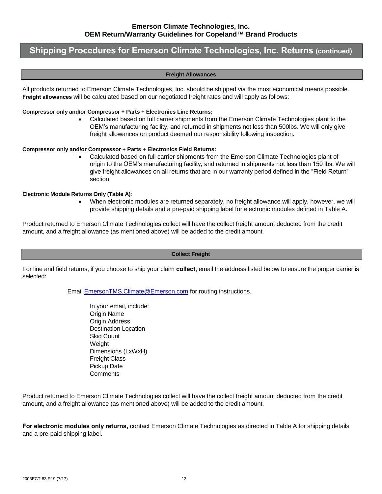### **Shipping Procedures for Emerson Climate Technologies, Inc. Returns (continued)**

#### **Freight Allowances**

All products returned to Emerson Climate Technologies, Inc. should be shipped via the most economical means possible. **Freight allowances** will be calculated based on our negotiated freight rates and will apply as follows:

#### **Compressor only and/or Compressor + Parts + Electronics Line Returns:**

 Calculated based on full carrier shipments from the Emerson Climate Technologies plant to the OEM's manufacturing facility, and returned in shipments not less than 500lbs. We will only give freight allowances on product deemed our responsibility following inspection.

#### **Compressor only and/or Compressor + Parts + Electronics Field Returns:**

 Calculated based on full carrier shipments from the Emerson Climate Technologies plant of origin to the OEM's manufacturing facility, and returned in shipments not less than 150 lbs. We will give freight allowances on all returns that are in our warranty period defined in the "Field Return" section.

#### **Electronic Module Returns Only (Table A)**:

 When electronic modules are returned separately, no freight allowance will apply, however, we will provide shipping details and a pre-paid shipping label for electronic modules defined in Table A.

Product returned to Emerson Climate Technologies collect will have the collect freight amount deducted from the credit amount, and a freight allowance (as mentioned above) will be added to the credit amount.

#### **Collect Freight**

For line and field returns, if you choose to ship your claim **collect,** email the address listed below to ensure the proper carrier is selected:

Email [EmersonTMS.Climate@Emerson.com](mailto:EmersonTMS.Climate@Emerson.com) for routing instructions.

In your email, include: Origin Name **Origin Address** Destination Location Skid Count Weight Dimensions (LxWxH) Freight Class Pickup Date **Comments** 

Product returned to Emerson Climate Technologies collect will have the collect freight amount deducted from the credit amount, and a freight allowance (as mentioned above) will be added to the credit amount.

**For electronic modules only returns,** contact Emerson Climate Technologies as directed in Table A for shipping details and a pre-paid shipping label.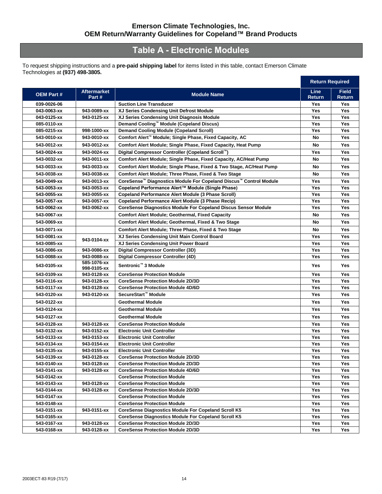# **Table A - Electronic Modules**

To request shipping instructions and a **pre-paid shipping label** for items listed in this table, contact Emerson Climate Technologies at **(937) 498-3805.**

|                  |                             |                                                                               |                       | <b>Return Required</b> |
|------------------|-----------------------------|-------------------------------------------------------------------------------|-----------------------|------------------------|
| <b>OEM Part#</b> | <b>Aftermarket</b><br>Part# | <b>Module Name</b>                                                            | <b>Line</b><br>Return | <b>Field</b><br>Return |
| 039-0026-06      |                             | <b>Suction Line Transducer</b>                                                | Yes                   | Yes                    |
| 043-0063-xx      | 943-0089-xx                 | XJ Series Condensing Unit Defrost Module                                      | Yes                   | Yes                    |
| 043-0125-xx      | 943-0125-xx                 | XJ Series Condensing Unit Diagnosis Module                                    | <b>Yes</b>            | <b>Yes</b>             |
| 085-0110-xx      |                             | Demand Cooling™ Module (Copeland Discus)                                      | Yes                   | Yes                    |
| 085-0215-xx      | 998-1000-xx                 | <b>Demand Cooling Module (Copeland Scroll)</b>                                | Yes                   | Yes                    |
| 543-0010-xx      | 943-0010-xx                 | Comfort Alert <sup>™</sup> Module; Single Phase, Fixed Capacity, AC           | No                    | Yes                    |
| 543-0012-xx      | 943-0012-xx                 | Comfort Alert Module; Single Phase, Fixed Capacity, Heat Pump                 | No                    | Yes                    |
| 543-0024-xx      | 943-0024-xx                 | Digital Compressor Controller (Copeland Scroll™)                              | Yes                   | Yes                    |
| 543-0032-xx      | 943-0011-xx                 | <b>Comfort Alert Module; Single Phase, Fixed Capacity, AC/Heat Pump</b>       | No                    | Yes                    |
| 543-0033-xx      | 943-0033-xx                 | Comfort Alert Module; Single Phase, Fixed & Two Stage, AC/Heat Pump           | No                    | Yes                    |
| 543-0038-xx      | 943-0038-xx                 | Comfort Alert Module; Three Phase, Fixed & Two Stage                          | No                    | Yes                    |
| 543-0049-xx      | 943-0013-xx                 | CoreSense <sup>™</sup> Diagnostics Module For Copeland Discus™ Control Module | Yes                   | <b>Yes</b>             |
| 543-0053-xx      | 943-0053-xx                 | Copeland Performance Alert™ Module (Single Phase)                             | Yes                   | Yes                    |
| 543-0055-xx      | 943-0055-xx                 | <b>Copeland Performance Alert Module (3 Phase Scroll)</b>                     | Yes                   | Yes                    |
| 543-0057-xx      | 943-0057-xx                 | <b>Copeland Performance Alert Module (3 Phase Recip)</b>                      | Yes                   | Yes                    |
| 543-0062-xx      | 943-0062-xx                 | <b>CoreSense Diagnostics Module For Copeland Discus Sensor Module</b>         | Yes                   | Yes                    |
| 543-0067-xx      |                             | <b>Comfort Alert Module; Geothermal, Fixed Capacity</b>                       | No                    | Yes                    |
| 543-0069-xx      |                             | Comfort Alert Module; Geothermal, Fixed & Two Stage                           | No                    | Yes                    |
| 543-0071-xx      |                             | Comfort Alert Module; Three Phase, Fixed & Two Stage                          | No                    | Yes                    |
| 543-0081-xx      |                             | XJ Series Condensing Unit Main Control Board                                  | Yes                   | Yes                    |
| 543-0085-xx      | 943-0104-xx                 | XJ Series Condensing Unit Power Board                                         | Yes                   | Yes                    |
| 543-0086-xx      | 943-0086-xx                 | Digital Compressor Controller (3D)                                            | Yes                   | Yes                    |
| 543-0088-xx      | 943-0088-xx                 | Digital Compressor Controller (4D)                                            | Yes                   | Yes                    |
| 543-0105-xx      | 585-1076-xx<br>998-0105-xx  | Sentronic <sup>™</sup> 3 Module                                               | <b>Yes</b>            | Yes                    |
| 543-0109-xx      | 943-0128-xx                 | <b>CoreSense Protection Module</b>                                            | Yes                   | Yes                    |
| 543-0116-xx      | 943-0128-xx                 | <b>CoreSense Protection Module 2D/3D</b>                                      | Yes                   | Yes                    |
| 543-0117-xx      | 943-0128-xx                 | <b>CoreSense Protection Module 4D/6D</b>                                      | Yes                   | Yes                    |
| 543-0120-xx      | 943-0120-xx                 | SecureStart <sup>™</sup> Module                                               | Yes                   | Yes                    |
| 543-0122-xx      |                             | <b>Geothermal Module</b>                                                      | Yes                   | Yes                    |
| 543-0124-xx      |                             | <b>Geothermal Module</b>                                                      | Yes                   | Yes                    |
| 543-0127-xx      |                             | <b>Geothermal Module</b>                                                      | Yes                   | Yes                    |
| 543-0128-xx      | 943-0128-xx                 | <b>CoreSense Protection Module</b>                                            | Yes                   | Yes                    |
| 543-0132-xx      | 943-0152-xx                 | <b>Electronic Unit Controller</b>                                             | Yes                   | <b>Yes</b>             |
| 543-0133-xx      | 943-0153-xx                 | <b>Electronic Unit Controller</b>                                             | Yes                   | Yes                    |
| 543-0134-xx      | 943-0154-xx                 | <b>Electronic Unit Controller</b>                                             | Yes                   | Yes                    |
| 543-0135-xx      | 943-0155-xx                 | <b>Electronic Unit Controller</b>                                             | Yes                   | Yes                    |
| 543-0139-xx      | 943-0128-xx                 | <b>CoreSense Protection Module 2D/3D</b>                                      | Yes                   | Yes                    |
| 543-0140-xx      | 943-0128-xx                 | <b>CoreSense Protection Module 2D/3D</b>                                      | Yes                   | Yes                    |
| 543-0141-xx      | 943-0128-xx                 | <b>CoreSense Protection Module 4D/6D</b>                                      | Yes                   | Yes                    |
| 543-0142-xx      |                             | <b>CoreSense Protection Module</b>                                            | Yes                   | Yes                    |
| 543-0143-xx      | 943-0128-xx                 | <b>CoreSense Protection Module</b>                                            | Yes                   | Yes                    |
| 543-0144-xx      | 943-0128-xx                 | <b>CoreSense Protection Module 2D/3D</b>                                      | Yes                   | Yes                    |
| 543-0147-xx      |                             | <b>CoreSense Protection Module</b>                                            | Yes                   | Yes                    |
| 543-0148-xx      |                             | <b>CoreSense Protection Module</b>                                            | Yes                   | Yes                    |
| 543-0151-xx      | 943-0151-xx                 | <b>CoreSense Diagnostics Module For Copeland Scroll K5</b>                    | Yes                   | Yes                    |
| 543-0165-xx      |                             | <b>CoreSense Diagnostics Module For Copeland Scroll K5</b>                    | Yes                   | Yes                    |
| 543-0167-xx      | 943-0128-xx                 | <b>CoreSense Protection Module 2D/3D</b>                                      | Yes                   | Yes                    |
| 543-0168-xx      | 943-0128-xx                 | <b>CoreSense Protection Module 2D/3D</b>                                      | Yes                   | Yes                    |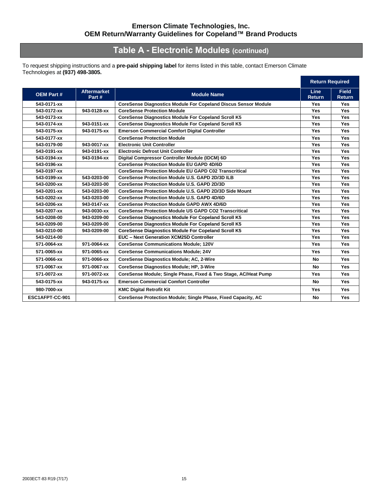# **Table A - Electronic Modules (continued)**

To request shipping instructions and a **pre-paid shipping label** for items listed in this table, contact Emerson Climate Technologies at **(937) 498-3805.**

|                  |                             |                                                                 |                       | <b>Return Required</b>        |  |
|------------------|-----------------------------|-----------------------------------------------------------------|-----------------------|-------------------------------|--|
| <b>OEM Part#</b> | <b>Aftermarket</b><br>Part# | <b>Module Name</b>                                              | Line<br><b>Return</b> | <b>Field</b><br><b>Return</b> |  |
| 543-0171-xx      |                             | CoreSense Diagnostics Module For Copeland Discus Sensor Module  | <b>Yes</b>            | Yes                           |  |
| 543-0172-xx      | 943-0128-xx                 | <b>CoreSense Protection Module</b>                              | <b>Yes</b>            | <b>Yes</b>                    |  |
| 543-0173-xx      |                             | <b>CoreSense Diagnostics Module For Copeland Scroll K5</b>      | <b>Yes</b>            | <b>Yes</b>                    |  |
| 543-0174-xx      | 943-0151-xx                 | <b>CoreSense Diagnostics Module For Copeland Scroll K5</b>      | <b>Yes</b>            | <b>Yes</b>                    |  |
| 543-0175-xx      | 943-0175-xx                 | <b>Emerson Commercial Comfort Digital Controller</b>            | <b>Yes</b>            | <b>Yes</b>                    |  |
| 543-0177-xx      |                             | <b>CoreSense Protection Module</b>                              | Yes                   | <b>Yes</b>                    |  |
| 543-0179-00      | 943-0017-xx                 | <b>Electronic Unit Controller</b>                               | Yes                   | Yes                           |  |
| 543-0191-xx      | 943-0191-xx                 | <b>Electronic Defrost Unit Controller</b>                       | <b>Yes</b>            | <b>Yes</b>                    |  |
| 543-0194-xx      | 943-0194-xx                 | Digital Compressor Controller Module (IDCM) 6D                  | <b>Yes</b>            | Yes                           |  |
| 543-0196-xx      |                             | <b>CoreSense Protection Module EU GAPD 4D/6D</b>                | <b>Yes</b>            | <b>Yes</b>                    |  |
| 543-0197-xx      |                             | <b>CoreSense Protection Module EU GAPD C02 Transcritical</b>    | <b>Yes</b>            | Yes                           |  |
| 543-0199-xx      | 543-0203-00                 | CoreSense Protection Module U.S. GAPD 2D/3D ILB                 | <b>Yes</b>            | Yes                           |  |
| 543-0200-xx      | 543-0203-00                 | CoreSense Protection Module U.S. GAPD 2D/3D                     | <b>Yes</b>            | <b>Yes</b>                    |  |
| 543-0201-xx      | 543-0203-00                 | CoreSense Protection Module U.S. GAPD 2D/3D Side Mount          | <b>Yes</b>            | Yes                           |  |
| 543-0202-xx      | 543-0203-00                 | CoreSense Protection Module U.S. GAPD 4D/6D                     | <b>Yes</b>            | <b>Yes</b>                    |  |
| 543-0206-xx      | 943-0147-xx                 | <b>CoreSense Protection Module GAPD AWX 4D/6D</b>               | <b>Yes</b>            | <b>Yes</b>                    |  |
| 543-0207-xx      | 943-0030-xx                 | <b>CoreSense Protection Module US GAPD CO2 Transcritical</b>    | <b>Yes</b>            | Yes                           |  |
| 543-0208-00      | 943-0209-00                 | <b>CoreSense Diagnostics Module For Copeland Scroll K5</b>      | Yes                   | Yes                           |  |
| 543-0209-00      | 943-0209-00                 | <b>CoreSense Diagnostics Module For Copeland Scroll K5</b>      | <b>Yes</b>            | Yes                           |  |
| 543-0210-00      | 943-0209-00                 | <b>CoreSense Diagnostics Module For Copeland Scroll K5</b>      | <b>Yes</b>            | <b>Yes</b>                    |  |
| 543-0214-00      |                             | <b>EUC - Next Generation XCM25D Controller</b>                  | <b>Yes</b>            | <b>Yes</b>                    |  |
| 571-0064-xx      | 971-0064-xx                 | <b>CoreSense Communications Module; 120V</b>                    | Yes                   | <b>Yes</b>                    |  |
| 571-0065-xx      | 971-0065-xx                 | <b>CoreSense Communications Module; 24V</b>                     | Yes                   | <b>Yes</b>                    |  |
| 571-0066-xx      | 971-0066-xx                 | CoreSense Diagnostics Module; AC, 2-Wire                        | No                    | Yes                           |  |
| 571-0067-xx      | 971-0067-xx                 | <b>CoreSense Diagnostics Module; HP, 3-Wire</b>                 | No                    | <b>Yes</b>                    |  |
| 571-0072-xx      | 971-0072-xx                 | CoreSense Module; Single Phase, Fixed & Two Stage, AC/Heat Pump | <b>Yes</b>            | <b>Yes</b>                    |  |
| 543-0175-xx      | 943-0175-xx                 | <b>Emerson Commercial Comfort Controller</b>                    | <b>No</b>             | <b>Yes</b>                    |  |
| 980-7000-xx      |                             | <b>KMC Digital Retrofit Kit</b>                                 | <b>Yes</b>            | Yes                           |  |
| ESC1AFPT-CC-901  |                             | CoreSense Protection Module; Single Phase, Fixed Capacity, AC   | No                    | <b>Yes</b>                    |  |